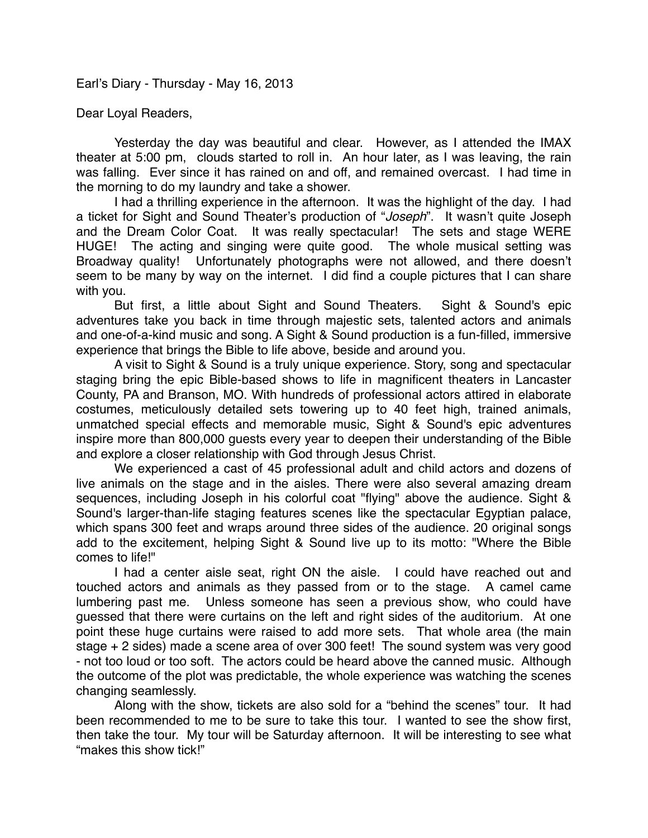Earl's Diary - Thursday - May 16, 2013

Dear Loyal Readers,

Yesterday the day was beautiful and clear. However, as I attended the IMAX theater at 5:00 pm, clouds started to roll in. An hour later, as I was leaving, the rain was falling. Ever since it has rained on and off, and remained overcast. I had time in the morning to do my laundry and take a shower.

I had a thrilling experience in the afternoon. It was the highlight of the day. I had a ticket for Sight and Sound Theater's production of "*Joseph*". It wasn't quite Joseph and the Dream Color Coat. It was really spectacular! The sets and stage WERE HUGE! The acting and singing were quite good. The whole musical setting was Broadway quality! Unfortunately photographs were not allowed, and there doesn't seem to be many by way on the internet. I did find a couple pictures that I can share with you.

But first, a little about Sight and Sound Theaters. Sight & Sound's epic adventures take you back in time through majestic sets, talented actors and animals and one-of-a-kind music and song. A Sight & Sound production is a fun-filled, immersive experience that brings the Bible to life above, beside and around you.

A visit to Sight & Sound is a truly unique experience. Story, song and spectacular staging bring the epic Bible-based shows to life in magnificent theaters in Lancaster County, PA and Branson, MO. With hundreds of professional actors attired in elaborate costumes, meticulously detailed sets towering up to 40 feet high, trained animals, unmatched special effects and memorable music, Sight & Sound's epic adventures inspire more than 800,000 guests every year to deepen their understanding of the Bible and explore a closer relationship with God through Jesus Christ.

We experienced a cast of 45 professional adult and child actors and dozens of live animals on the stage and in the aisles. There were also several amazing dream sequences, including Joseph in his colorful coat "flying" above the audience. Sight & Sound's larger-than-life staging features scenes like the spectacular Egyptian palace, which spans 300 feet and wraps around three sides of the audience. 20 original songs add to the excitement, helping Sight & Sound live up to its motto: "Where the Bible comes to life!"

I had a center aisle seat, right ON the aisle. I could have reached out and touched actors and animals as they passed from or to the stage. A camel came lumbering past me. Unless someone has seen a previous show, who could have guessed that there were curtains on the left and right sides of the auditorium. At one point these huge curtains were raised to add more sets. That whole area (the main stage + 2 sides) made a scene area of over 300 feet! The sound system was very good - not too loud or too soft. The actors could be heard above the canned music. Although the outcome of the plot was predictable, the whole experience was watching the scenes changing seamlessly.

Along with the show, tickets are also sold for a "behind the scenes" tour. It had been recommended to me to be sure to take this tour. I wanted to see the show first, then take the tour. My tour will be Saturday afternoon. It will be interesting to see what "makes this show tick!"